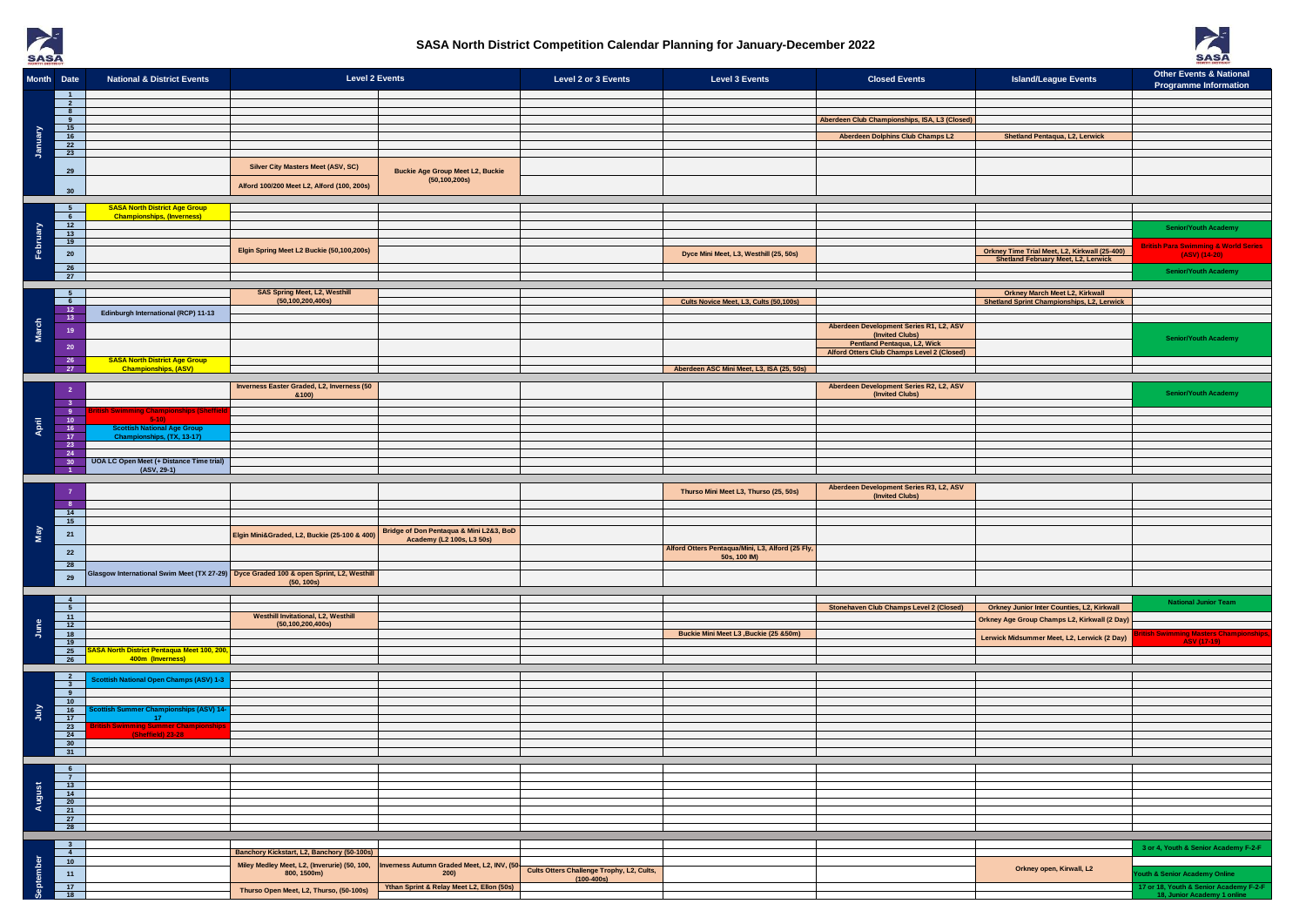



|          | Month Date                                 | <b>National &amp; District Events</b>                                               | <b>Level 2 Events</b>                                                                                |                                                                      | Level 2 or 3 Events                       | <b>Level 3 Events</b>                                            | <b>Closed Events</b>                                                                         | <b>Island/League Events</b>                                                                | <b>Other Events &amp; National</b><br><b>Programme Information</b>     |
|----------|--------------------------------------------|-------------------------------------------------------------------------------------|------------------------------------------------------------------------------------------------------|----------------------------------------------------------------------|-------------------------------------------|------------------------------------------------------------------|----------------------------------------------------------------------------------------------|--------------------------------------------------------------------------------------------|------------------------------------------------------------------------|
|          | $\blacksquare$<br>$\overline{\mathbf{2}}$  |                                                                                     |                                                                                                      |                                                                      |                                           |                                                                  |                                                                                              |                                                                                            |                                                                        |
| January  | 8 <sup>1</sup><br>9<br>15                  |                                                                                     |                                                                                                      |                                                                      |                                           |                                                                  | Aberdeen Club Championships, ISA, L3 (Closed)                                                |                                                                                            |                                                                        |
|          | 16<br>$\overline{22}$                      |                                                                                     |                                                                                                      |                                                                      |                                           |                                                                  | <b>Aberdeen Dolphins Club Champs L2</b>                                                      | Shetland Pentaqua, L2, Lerwick                                                             |                                                                        |
|          | 23                                         |                                                                                     |                                                                                                      |                                                                      |                                           |                                                                  |                                                                                              |                                                                                            |                                                                        |
|          | 29                                         |                                                                                     | Silver City Masters Meet (ASV, SC)                                                                   | <b>Buckie Age Group Meet L2, Buckie</b><br>(50, 100, 200s)           |                                           |                                                                  |                                                                                              |                                                                                            |                                                                        |
|          | 30                                         |                                                                                     | Alford 100/200 Meet L2, Alford (100, 200s)                                                           |                                                                      |                                           |                                                                  |                                                                                              |                                                                                            |                                                                        |
|          | 5 <sub>5</sub><br>6                        | <b>SASA North District Age Group</b><br><b>Championships, (Inverness)</b>           |                                                                                                      |                                                                      |                                           |                                                                  |                                                                                              |                                                                                            |                                                                        |
| February | 12<br>$-13$                                |                                                                                     |                                                                                                      |                                                                      |                                           |                                                                  |                                                                                              |                                                                                            | <b>Senior/Youth Academy</b>                                            |
|          | 19<br>${\bf 20}$                           |                                                                                     | Elgin Spring Meet L2 Buckie (50,100,200s)                                                            |                                                                      |                                           | Dyce Mini Meet, L3, Westhill (25, 50s)                           |                                                                                              | Orkney Time Trial Meet, L2, Kirkwall (25-400)                                              | <b>British Para Swimming &amp; World Series</b><br>(ASV) (14-20)       |
|          | 26<br>27                                   |                                                                                     |                                                                                                      |                                                                      |                                           |                                                                  |                                                                                              | Shetland February Meet, L2, Lerwick                                                        | <b>Senior/Youth Academy</b>                                            |
|          | $5^{\circ}$                                |                                                                                     | <b>SAS Spring Meet, L2, Westhill</b>                                                                 |                                                                      |                                           |                                                                  |                                                                                              | <b>Orkney March Meet L2, Kirkwall</b>                                                      |                                                                        |
|          | 6<br>12                                    | Edinburgh International (RCP) 11-13                                                 | (50, 100, 200, 400s)                                                                                 |                                                                      |                                           | Cults Novice Meet, L3, Cults (50,100s)                           |                                                                                              | Shetland Sprint Championships, L2, Lerwick                                                 |                                                                        |
| March    | 13<br>19                                   |                                                                                     |                                                                                                      |                                                                      |                                           |                                                                  | Aberdeen Development Series R1, L2, ASV                                                      |                                                                                            |                                                                        |
|          | 20                                         |                                                                                     |                                                                                                      |                                                                      |                                           |                                                                  | (Invited Clubs)<br>Pentland Pentaqua, L2, Wick<br>Alford Otters Club Champs Level 2 (Closed) |                                                                                            | <b>Senior/Youth Academy</b>                                            |
|          | 26<br>27                                   | <b>SASA North District Age Group</b><br><b>Championships, (ASV)</b>                 |                                                                                                      |                                                                      |                                           | Aberdeen ASC Mini Meet, L3, ISA (25, 50s)                        |                                                                                              |                                                                                            |                                                                        |
|          | $\overline{\mathbf{2}}$                    |                                                                                     | Inverness Easter Graded, L2, Inverness (50                                                           |                                                                      |                                           |                                                                  | Aberdeen Development Series R2, L2, ASV                                                      |                                                                                            |                                                                        |
|          | $\overline{\mathbf{3}}$                    |                                                                                     | &100)                                                                                                |                                                                      |                                           |                                                                  | (Invited Clubs)                                                                              |                                                                                            | <b>Senior/Youth Academy</b>                                            |
| April    | $\overline{\phantom{a}}$<br>10<br>16       | 5-10)                                                                               |                                                                                                      |                                                                      |                                           |                                                                  |                                                                                              |                                                                                            |                                                                        |
|          | 17<br>23                                   | <b>Scottish National Age Group</b><br>Championships, (TX, 13-17)                    |                                                                                                      |                                                                      |                                           |                                                                  |                                                                                              |                                                                                            |                                                                        |
|          | 24<br>30                                   | UOA LC Open Meet (+ Distance Time trial)<br>(ASV, 29-1)                             |                                                                                                      |                                                                      |                                           |                                                                  |                                                                                              |                                                                                            |                                                                        |
|          | $\overline{1}$                             |                                                                                     |                                                                                                      |                                                                      |                                           |                                                                  |                                                                                              |                                                                                            |                                                                        |
|          | $\overline{7}$<br>$\overline{\phantom{a}}$ |                                                                                     |                                                                                                      |                                                                      |                                           | Thurso Mini Meet L3, Thurso (25, 50s)                            | Aberdeen Development Series R3, L2, ASV<br>(Invited Clubs)                                   |                                                                                            |                                                                        |
|          | $\overline{14}$<br>$-15$                   |                                                                                     |                                                                                                      |                                                                      |                                           |                                                                  |                                                                                              |                                                                                            |                                                                        |
| Nay      | 21                                         |                                                                                     | Elgin Mini&Graded, L2, Buckie (25-100 & 400)                                                         | Bridge of Don Pentaqua & Mini L2&3, BoD<br>Academy (L2 100s, L3 50s) |                                           |                                                                  |                                                                                              |                                                                                            |                                                                        |
|          | 22                                         |                                                                                     |                                                                                                      |                                                                      |                                           | Alford Otters Pentaqua/Mini, L3, Alford (25 Fly,<br>50s, 100 IM) |                                                                                              |                                                                                            |                                                                        |
|          | 28<br>29                                   |                                                                                     | Glasgow International Swim Meet (TX 27-29) Dyce Graded 100 & open Sprint, L2, Westhill<br>(50, 100s) |                                                                      |                                           |                                                                  |                                                                                              |                                                                                            |                                                                        |
|          | $\overline{4}$                             |                                                                                     |                                                                                                      |                                                                      |                                           |                                                                  |                                                                                              |                                                                                            |                                                                        |
|          | 5<br>11                                    |                                                                                     | <b>Westhill Invitational, L2, Westhill</b>                                                           |                                                                      |                                           |                                                                  | Stonehaven Club Champs Level 2 (Closed)                                                      | Orkney Junior Inter Counties, L2, Kirkwall<br>Orkney Age Group Champs L2, Kirkwall (2 Day) | <b>National Junior Team</b>                                            |
| June     | 12<br>18                                   |                                                                                     | (50, 100, 200, 400s)                                                                                 |                                                                      |                                           | Buckie Mini Meet L3 , Buckie (25 & 50m)                          |                                                                                              | Lerwick Midsummer Meet, L2, Lerwick (2 Day)                                                | ng Masters (                                                           |
|          | 19<br>25<br>26                             | SA North District Pentaqua Meet 100, 200,<br>400m (Inverness)                       |                                                                                                      |                                                                      |                                           |                                                                  |                                                                                              |                                                                                            | <b>ASV (17-19)</b>                                                     |
|          |                                            |                                                                                     |                                                                                                      |                                                                      |                                           |                                                                  |                                                                                              |                                                                                            |                                                                        |
|          | $\frac{2}{3}$<br>9 <sup>1</sup>            | <b>Scottish National Open Champs (ASV) 1-3</b>                                      |                                                                                                      |                                                                      |                                           |                                                                  |                                                                                              |                                                                                            |                                                                        |
| <b>A</b> | $-10$<br>$\frac{16}{16}$                   | cottish Summer Championships (ASV) 14-                                              |                                                                                                      |                                                                      |                                           |                                                                  |                                                                                              |                                                                                            |                                                                        |
|          | 17<br>23<br>24                             | 17 <sub>1</sub><br><u>ritish Swimming Summer Championships</u><br>(Sheffield) 23-28 |                                                                                                      |                                                                      |                                           |                                                                  |                                                                                              |                                                                                            |                                                                        |
|          | 30<br>31                                   |                                                                                     |                                                                                                      |                                                                      |                                           |                                                                  |                                                                                              |                                                                                            |                                                                        |
| August   | 6<br>$\overline{7}$                        |                                                                                     |                                                                                                      |                                                                      |                                           |                                                                  |                                                                                              |                                                                                            |                                                                        |
|          | 13<br>14                                   |                                                                                     |                                                                                                      |                                                                      |                                           |                                                                  |                                                                                              |                                                                                            |                                                                        |
|          | 20<br>21                                   |                                                                                     |                                                                                                      |                                                                      |                                           |                                                                  |                                                                                              |                                                                                            |                                                                        |
|          | 27<br>28                                   |                                                                                     |                                                                                                      |                                                                      |                                           |                                                                  |                                                                                              |                                                                                            |                                                                        |
| ember    | 3 <sup>1</sup><br>$\sim$ 4                 |                                                                                     | Banchory Kickstart, L2, Banchory (50-100s)                                                           |                                                                      |                                           |                                                                  |                                                                                              |                                                                                            | 3 or 4, Youth & Senior Academy F-2-F                                   |
|          | 10                                         |                                                                                     | Miley Medley Meet, L2, (Inverurie) (50, 100,                                                         | Inverness Autumn Graded Meet, L2, INV, (50-                          | Cults Otters Challenge Trophy, L2, Cults, |                                                                  |                                                                                              | Orkney open, Kirwall, L2                                                                   |                                                                        |
|          | 11<br>$-17$                                |                                                                                     | 800, 1500m)<br>Thurso Open Meet, L2, Thurso, (50-100s)                                               | 200)<br>Ythan Sprint & Relay Meet L2, Ellon (50s)                    | $(100 - 400s)$                            |                                                                  |                                                                                              |                                                                                            | outh & Senior Academy Online<br>17 or 18, Youth & Senior Academy F-2-F |
|          | 18                                         |                                                                                     |                                                                                                      |                                                                      |                                           |                                                                  |                                                                                              |                                                                                            | 18, Junior Academy 1 online                                            |